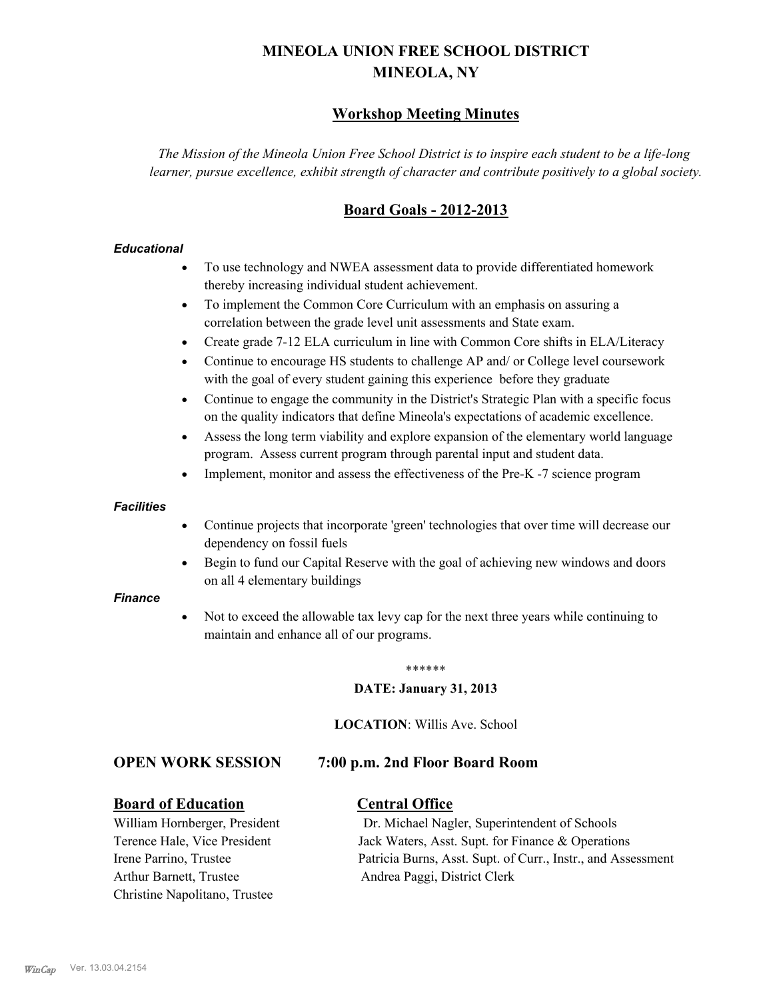# **MINEOLA UNION FREE SCHOOL DISTRICT MINEOLA, NY**

# **Workshop Meeting Minutes**

*The Mission of the Mineola Union Free School District is to inspire each student to be a life-long learner, pursue excellence, exhibit strength of character and contribute positively to a global society.*

# **Board Goals - 2012-2013**

#### *Educational*

- · To use technology and NWEA assessment data to provide differentiated homework thereby increasing individual student achievement.
- · To implement the Common Core Curriculum with an emphasis on assuring a correlation between the grade level unit assessments and State exam.
- Create grade 7-12 ELA curriculum in line with Common Core shifts in ELA/Literacy
- Continue to encourage HS students to challenge AP and/ or College level coursework with the goal of every student gaining this experience before they graduate
- · Continue to engage the community in the District's Strategic Plan with a specific focus on the quality indicators that define Mineola's expectations of academic excellence.
- Assess the long term viability and explore expansion of the elementary world language program. Assess current program through parental input and student data.
- Implement, monitor and assess the effectiveness of the Pre-K -7 science program

#### *Facilities*

- · Continue projects that incorporate 'green' technologies that over time will decrease our dependency on fossil fuels
- Begin to fund our Capital Reserve with the goal of achieving new windows and doors on all 4 elementary buildings

#### *Finance*

Not to exceed the allowable tax levy cap for the next three years while continuing to maintain and enhance all of our programs.

#### \*\*\*\*\*\*

#### **DATE: January 31, 2013**

**LOCATION**: Willis Ave. School

# **OPEN WORK SESSION 7:00 p.m. 2nd Floor Board Room**

#### **Board of Education Central Office**

Arthur Barnett, Trustee Andrea Paggi, District Clerk Christine Napolitano, Trustee

William Hornberger, President Dr. Michael Nagler, Superintendent of Schools Terence Hale, Vice President Jack Waters, Asst. Supt. for Finance & Operations Irene Parrino, Trustee Patricia Burns, Asst. Supt. of Curr., Instr., and Assessment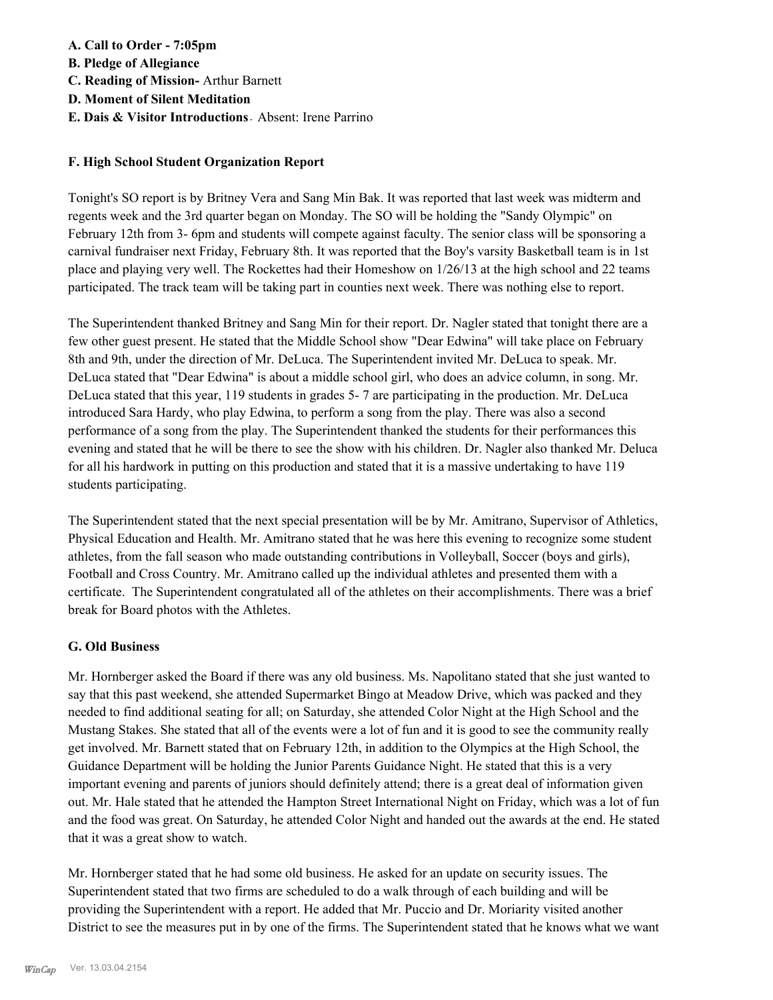**A. Call to Order - 7:05pm B. Pledge of Allegiance C. Reading of Mission-** Arthur Barnett **D. Moment of Silent Meditation E. Dais & Visitor Introductions -** Absent: Irene Parrino

# **F. High School Student Organization Report**

Tonight's SO report is by Britney Vera and Sang Min Bak. It was reported that last week was midterm and regents week and the 3rd quarter began on Monday. The SO will be holding the "Sandy Olympic" on February 12th from 3- 6pm and students will compete against faculty. The senior class will be sponsoring a carnival fundraiser next Friday, February 8th. It was reported that the Boy's varsity Basketball team is in 1st place and playing very well. The Rockettes had their Homeshow on 1/26/13 at the high school and 22 teams participated. The track team will be taking part in counties next week. There was nothing else to report.

The Superintendent thanked Britney and Sang Min for their report. Dr. Nagler stated that tonight there are a few other guest present. He stated that the Middle School show "Dear Edwina" will take place on February 8th and 9th, under the direction of Mr. DeLuca. The Superintendent invited Mr. DeLuca to speak. Mr. DeLuca stated that "Dear Edwina" is about a middle school girl, who does an advice column, in song. Mr. DeLuca stated that this year, 119 students in grades 5- 7 are participating in the production. Mr. DeLuca introduced Sara Hardy, who play Edwina, to perform a song from the play. There was also a second performance of a song from the play. The Superintendent thanked the students for their performances this evening and stated that he will be there to see the show with his children. Dr. Nagler also thanked Mr. Deluca for all his hardwork in putting on this production and stated that it is a massive undertaking to have 119 students participating.

The Superintendent stated that the next special presentation will be by Mr. Amitrano, Supervisor of Athletics, Physical Education and Health. Mr. Amitrano stated that he was here this evening to recognize some student athletes, from the fall season who made outstanding contributions in Volleyball, Soccer (boys and girls), Football and Cross Country. Mr. Amitrano called up the individual athletes and presented them with a certificate. The Superintendent congratulated all of the athletes on their accomplishments. There was a brief break for Board photos with the Athletes.

# **G. Old Business**

Mr. Hornberger asked the Board if there was any old business. Ms. Napolitano stated that she just wanted to say that this past weekend, she attended Supermarket Bingo at Meadow Drive, which was packed and they needed to find additional seating for all; on Saturday, she attended Color Night at the High School and the Mustang Stakes. She stated that all of the events were a lot of fun and it is good to see the community really get involved. Mr. Barnett stated that on February 12th, in addition to the Olympics at the High School, the Guidance Department will be holding the Junior Parents Guidance Night. He stated that this is a very important evening and parents of juniors should definitely attend; there is a great deal of information given out. Mr. Hale stated that he attended the Hampton Street International Night on Friday, which was a lot of fun and the food was great. On Saturday, he attended Color Night and handed out the awards at the end. He stated that it was a great show to watch.

Mr. Hornberger stated that he had some old business. He asked for an update on security issues. The Superintendent stated that two firms are scheduled to do a walk through of each building and will be providing the Superintendent with a report. He added that Mr. Puccio and Dr. Moriarity visited another District to see the measures put in by one of the firms. The Superintendent stated that he knows what we want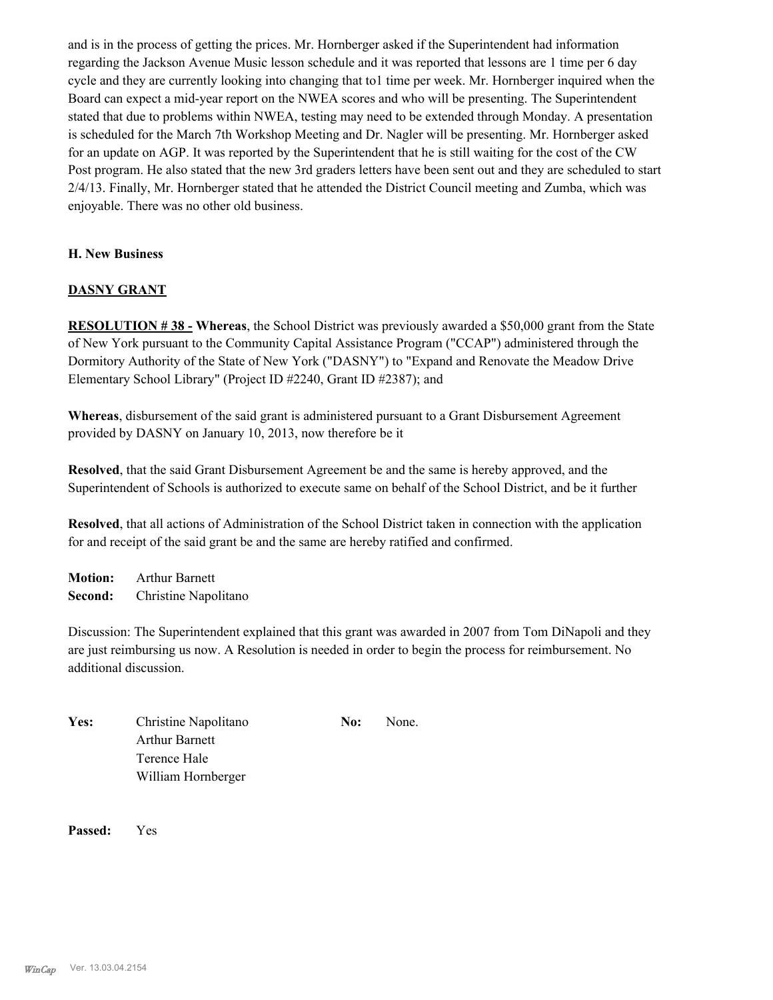and is in the process of getting the prices. Mr. Hornberger asked if the Superintendent had information regarding the Jackson Avenue Music lesson schedule and it was reported that lessons are 1 time per 6 day cycle and they are currently looking into changing that to1 time per week. Mr. Hornberger inquired when the Board can expect a mid-year report on the NWEA scores and who will be presenting. The Superintendent stated that due to problems within NWEA, testing may need to be extended through Monday. A presentation is scheduled for the March 7th Workshop Meeting and Dr. Nagler will be presenting. Mr. Hornberger asked for an update on AGP. It was reported by the Superintendent that he is still waiting for the cost of the CW Post program. He also stated that the new 3rd graders letters have been sent out and they are scheduled to start 2/4/13. Finally, Mr. Hornberger stated that he attended the District Council meeting and Zumba, which was enjoyable. There was no other old business.

# **H. New Business**

# **DASNY GRANT**

**RESOLUTION # 38 - Whereas**, the School District was previously awarded a \$50,000 grant from the State of New York pursuant to the Community Capital Assistance Program ("CCAP") administered through the Dormitory Authority of the State of New York ("DASNY") to "Expand and Renovate the Meadow Drive Elementary School Library" (Project ID #2240, Grant ID #2387); and

**Whereas**, disbursement of the said grant is administered pursuant to a Grant Disbursement Agreement provided by DASNY on January 10, 2013, now therefore be it

**Resolved**, that the said Grant Disbursement Agreement be and the same is hereby approved, and the Superintendent of Schools is authorized to execute same on behalf of the School District, and be it further

**Resolved**, that all actions of Administration of the School District taken in connection with the application for and receipt of the said grant be and the same are hereby ratified and confirmed.

**Motion:** Arthur Barnett **Second:** Christine Napolitano

Discussion: The Superintendent explained that this grant was awarded in 2007 from Tom DiNapoli and they are just reimbursing us now. A Resolution is needed in order to begin the process for reimbursement. No additional discussion.

Yes: Christine Napolitano **No:** None. Arthur Barnett Terence Hale William Hornberger

**Passed:** Yes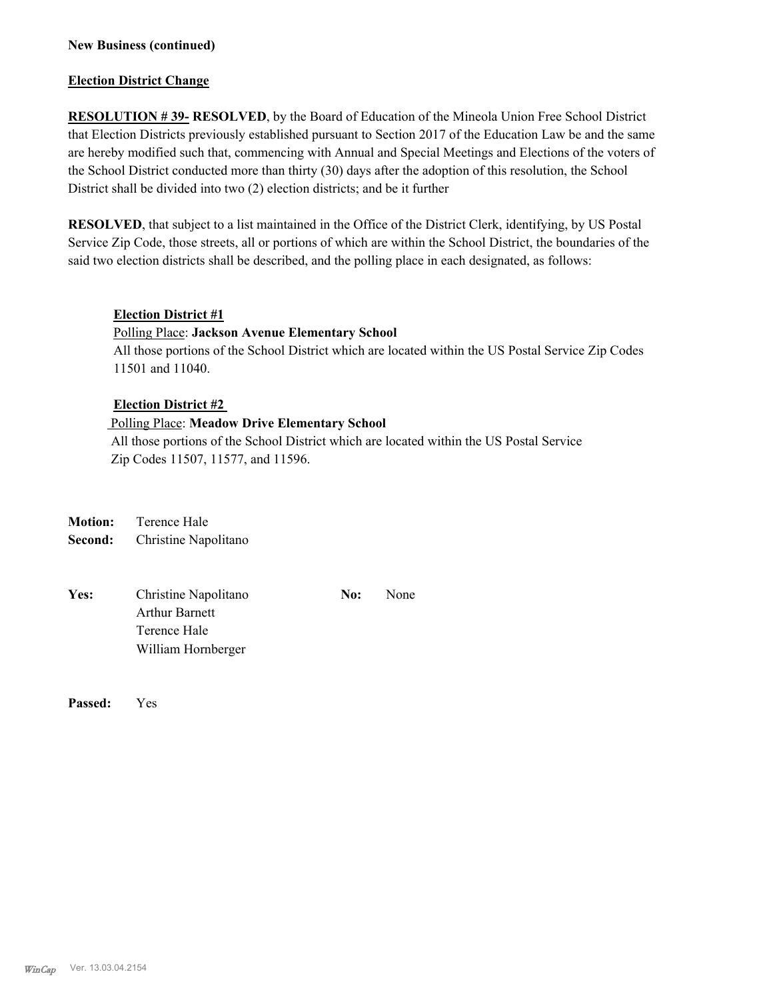## **New Business (continued)**

#### **Election District Change**

**RESOLUTION # 39- RESOLVED**, by the Board of Education of the Mineola Union Free School District that Election Districts previously established pursuant to Section 2017 of the Education Law be and the same are hereby modified such that, commencing with Annual and Special Meetings and Elections of the voters of the School District conducted more than thirty (30) days after the adoption of this resolution, the School District shall be divided into two (2) election districts; and be it further

**RESOLVED**, that subject to a list maintained in the Office of the District Clerk, identifying, by US Postal Service Zip Code, those streets, all or portions of which are within the School District, the boundaries of the said two election districts shall be described, and the polling place in each designated, as follows:

#### **Election District #1**

## Polling Place: **Jackson Avenue Elementary School**

All those portions of the School District which are located within the US Postal Service Zip Codes 11501 and 11040.

#### **Election District #2**

# Polling Place: **Meadow Drive Elementary School**

 All those portions of the School District which are located within the US Postal Service Zip Codes 11507, 11577, and 11596.

**Motion:** Terence Hale **Second:** Christine Napolitano

| Yes: | Christine Napolitano  | No: | None |
|------|-----------------------|-----|------|
|      | <b>Arthur Barnett</b> |     |      |
|      | Terence Hale          |     |      |
|      | William Hornberger    |     |      |
|      |                       |     |      |

**Passed:** Yes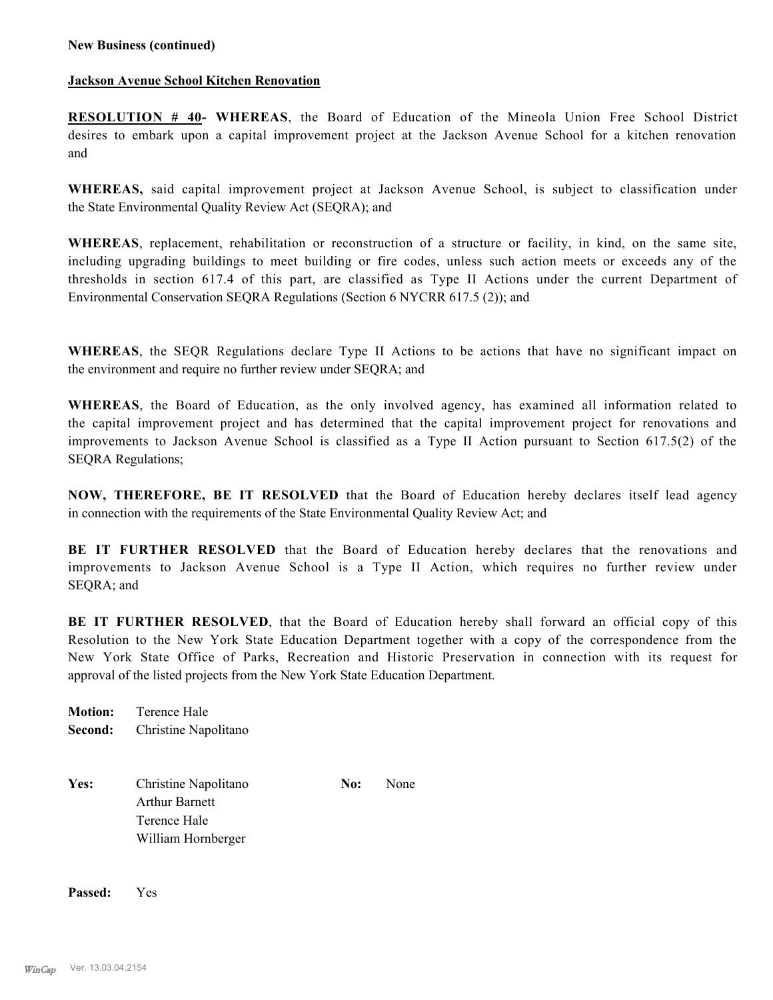## **Jackson Avenue School Kitchen Renovation**

**RESOLUTION # 40- WHEREAS**, the Board of Education of the Mineola Union Free School District desires to embark upon a capital improvement project at the Jackson Avenue School for a kitchen renovation and

**WHEREAS,** said capital improvement project at Jackson Avenue School, is subject to classification under the State Environmental Quality Review Act (SEQRA); and

**WHEREAS**, replacement, rehabilitation or reconstruction of a structure or facility, in kind, on the same site, including upgrading buildings to meet building or fire codes, unless such action meets or exceeds any of the thresholds in section 617.4 of this part, are classified as Type II Actions under the current Department of Environmental Conservation SEQRA Regulations (Section 6 NYCRR 617.5 (2)); and

**WHEREAS**, the SEQR Regulations declare Type II Actions to be actions that have no significant impact on the environment and require no further review under SEQRA; and

**WHEREAS**, the Board of Education, as the only involved agency, has examined all information related to the capital improvement project and has determined that the capital improvement project for renovations and improvements to Jackson Avenue School is classified as a Type II Action pursuant to Section 617.5(2) of the SEQRA Regulations;

**NOW, THEREFORE, BE IT RESOLVED** that the Board of Education hereby declares itself lead agency in connection with the requirements of the State Environmental Quality Review Act; and

**BE IT FURTHER RESOLVED** that the Board of Education hereby declares that the renovations and improvements to Jackson Avenue School is a Type II Action, which requires no further review under SEQRA; and

**BE IT FURTHER RESOLVED**, that the Board of Education hereby shall forward an official copy of this Resolution to the New York State Education Department together with a copy of the correspondence from the New York State Office of Parks, Recreation and Historic Preservation in connection with its request for approval of the listed projects from the New York State Education Department.

**Motion:** Terence Hale **Second:** Christine Napolitano

Yes: Christine Napolitano **No:** None Arthur Barnett Terence Hale William Hornberger

**Passed:** Yes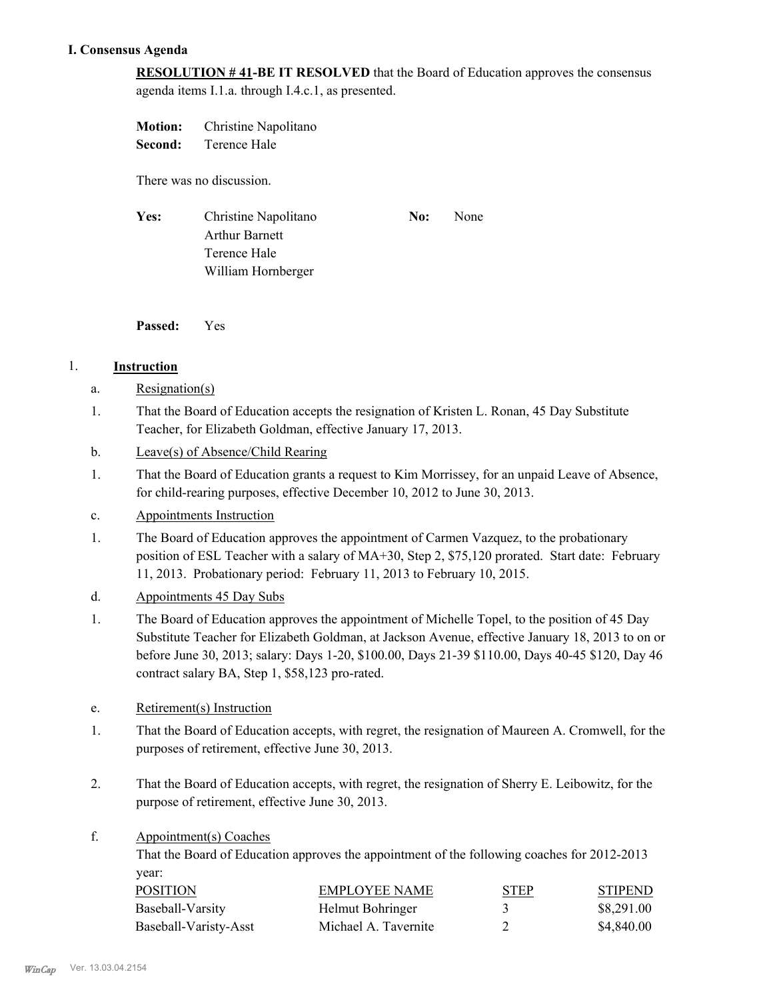# **I. Consensus Agenda**

**RESOLUTION # 41-BE IT RESOLVED** that the Board of Education approves the consensus agenda items I.1.a. through I.4.c.1, as presented.

**Motion:** Christine Napolitano **Second:** Terence Hale

There was no discussion.

Yes: Christine Napolitano **No:** None Arthur Barnett Terence Hale William Hornberger

**Passed:** Yes

# 1. **Instruction**

- a. Resignation(s)
- That the Board of Education accepts the resignation of Kristen L. Ronan, 45 Day Substitute Teacher, for Elizabeth Goldman, effective January 17, 2013. 1.
- b. Leave(s) of Absence/Child Rearing
- That the Board of Education grants a request to Kim Morrissey, for an unpaid Leave of Absence, for child-rearing purposes, effective December 10, 2012 to June 30, 2013. 1.
- c. Appointments Instruction
- The Board of Education approves the appointment of Carmen Vazquez, to the probationary position of ESL Teacher with a salary of MA+30, Step 2, \$75,120 prorated. Start date: February 11, 2013. Probationary period: February 11, 2013 to February 10, 2015. 1.
- d. Appointments 45 Day Subs
- The Board of Education approves the appointment of Michelle Topel, to the position of 45 Day Substitute Teacher for Elizabeth Goldman, at Jackson Avenue, effective January 18, 2013 to on or before June 30, 2013; salary: Days 1-20, \$100.00, Days 21-39 \$110.00, Days 40-45 \$120, Day 46 contract salary BA, Step 1, \$58,123 pro-rated. 1.
- e. Retirement(s) Instruction
- That the Board of Education accepts, with regret, the resignation of Maureen A. Cromwell, for the purposes of retirement, effective June 30, 2013. 1.
- That the Board of Education accepts, with regret, the resignation of Sherry E. Leibowitz, for the purpose of retirement, effective June 30, 2013. 2.
- Appointment(s) Coaches f.

That the Board of Education approves the appointment of the following coaches for 2012-2013 year:

| POSITION              | EMPLOYEE NAME        | <b>STEP</b> | <b>STIPEND</b> |
|-----------------------|----------------------|-------------|----------------|
| Baseball-Varsity      | Helmut Bohringer     |             | \$8,291.00     |
| Baseball-Varisty-Asst | Michael A. Tavernite |             | \$4,840.00     |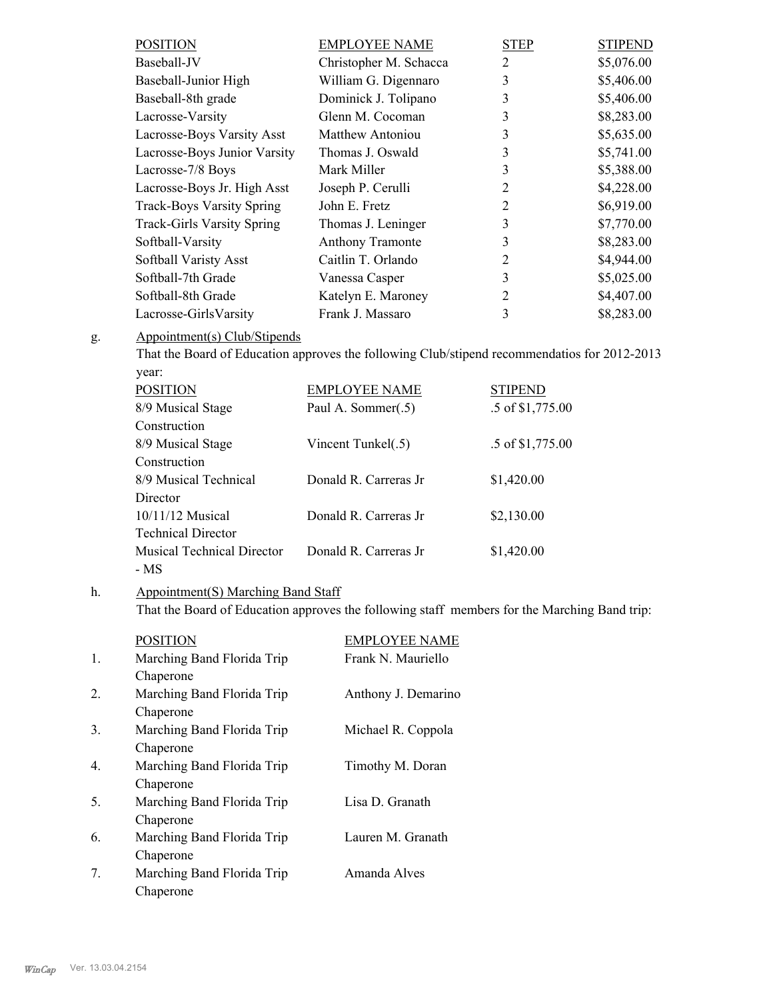| <b>POSITION</b>                   | <b>EMPLOYEE NAME</b>   | <b>STEP</b>    | <b>STIPEND</b> |
|-----------------------------------|------------------------|----------------|----------------|
| Baseball-JV                       | Christopher M. Schacca | 2              | \$5,076.00     |
| Baseball-Junior High              | William G. Digennaro   | 3              | \$5,406.00     |
| Baseball-8th grade                | Dominick J. Tolipano   | 3              | \$5,406.00     |
| Lacrosse-Varsity                  | Glenn M. Cocoman       | 3              | \$8,283.00     |
| Lacrosse-Boys Varsity Asst        | Matthew Antoniou       | 3              | \$5,635.00     |
| Lacrosse-Boys Junior Varsity      | Thomas J. Oswald       | 3              | \$5,741.00     |
| Lacrosse-7/8 Boys                 | Mark Miller            | 3              | \$5,388.00     |
| Lacrosse-Boys Jr. High Asst       | Joseph P. Cerulli      | 2              | \$4,228.00     |
| <b>Track-Boys Varsity Spring</b>  | John E. Fretz          | $\overline{2}$ | \$6,919.00     |
| <b>Track-Girls Varsity Spring</b> | Thomas J. Leninger     | 3              | \$7,770.00     |
| Softball-Varsity                  | Anthony Tramonte       | 3              | \$8,283.00     |
| Softball Varisty Asst             | Caitlin T. Orlando     | 2              | \$4,944.00     |
| Softball-7th Grade                | Vanessa Casper         | 3              | \$5,025.00     |
| Softball-8th Grade                | Katelyn E. Maroney     | $\overline{2}$ | \$4,407.00     |
| Lacrosse-GirlsVarsity             | Frank J. Massaro       | 3              | \$8,283.00     |

#### Appointment(s) Club/Stipends g.

That the Board of Education approves the following Club/stipend recommendatios for 2012-2013 year:

| <b>POSITION</b>            | <b>EMPLOYEE NAME</b>  | <b>STIPEND</b>   |
|----------------------------|-----------------------|------------------|
| 8/9 Musical Stage          | Paul A. Sommer(.5)    | .5 of \$1,775.00 |
| Construction               |                       |                  |
| 8/9 Musical Stage          | Vincent Tunkel(.5)    | .5 of \$1,775.00 |
| Construction               |                       |                  |
| 8/9 Musical Technical      | Donald R Carreras Jr  | \$1,420.00       |
| Director                   |                       |                  |
| $10/11/12$ Musical         | Donald R Carreras Jr  | \$2,130.00       |
| <b>Technical Director</b>  |                       |                  |
| Musical Technical Director | Donald R. Carreras Jr | \$1,420.00       |
| - MS                       |                       |                  |

#### Appointment(S) Marching Band Staff h.

That the Board of Education approves the following staff members for the Marching Band trip:

|                  | <b>POSITION</b>            | <b>EMPLOYEE NAME</b> |
|------------------|----------------------------|----------------------|
| $\mathbf{1}$ .   | Marching Band Florida Trip | Frank N. Mauriello   |
|                  | Chaperone                  |                      |
| 2.               | Marching Band Florida Trip | Anthony J. Demarino  |
|                  | Chaperone                  |                      |
| 3.               | Marching Band Florida Trip | Michael R. Coppola   |
|                  | Chaperone                  |                      |
| $\overline{4}$ . | Marching Band Florida Trip | Timothy M. Doran     |
|                  | Chaperone                  |                      |
| 5.               | Marching Band Florida Trip | Lisa D. Granath      |
|                  | Chaperone                  |                      |
| 6.               | Marching Band Florida Trip | Lauren M. Granath    |
|                  | Chaperone                  |                      |
| 7.               | Marching Band Florida Trip | Amanda Alves         |
|                  | Chaperone                  |                      |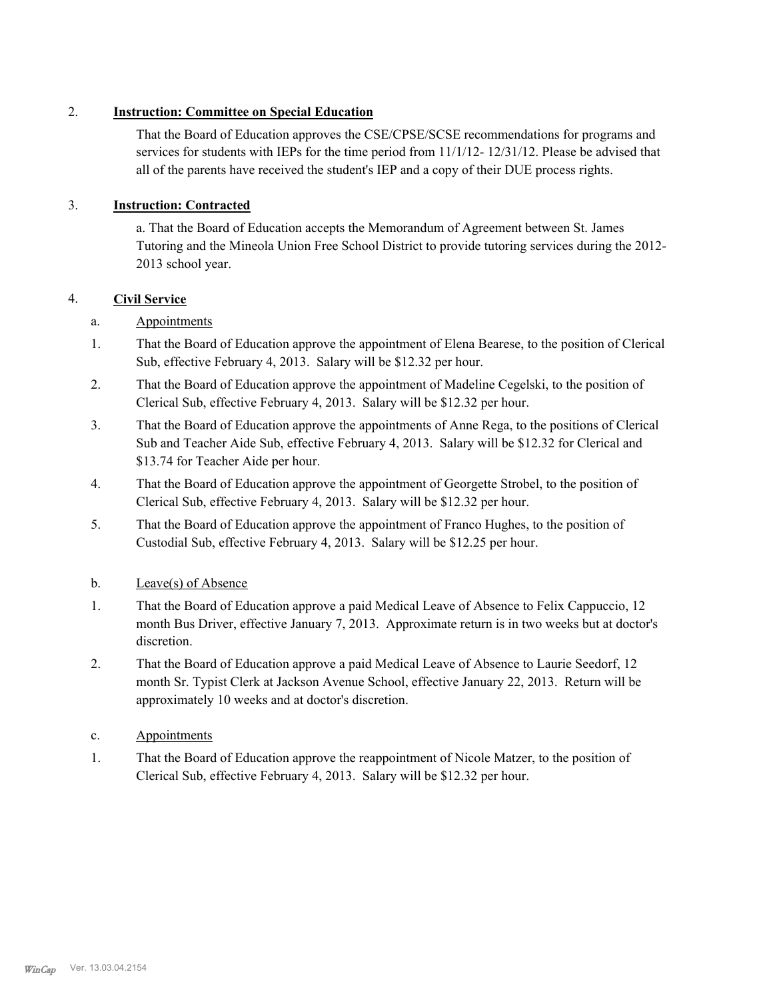# 2. **Instruction: Committee on Special Education**

That the Board of Education approves the CSE/CPSE/SCSE recommendations for programs and services for students with IEPs for the time period from 11/1/12- 12/31/12. Please be advised that all of the parents have received the student's IEP and a copy of their DUE process rights.

# 3. **Instruction: Contracted**

a. That the Board of Education accepts the Memorandum of Agreement between St. James Tutoring and the Mineola Union Free School District to provide tutoring services during the 2012- 2013 school year.

# 4. **Civil Service**

# a. Appointments

- That the Board of Education approve the appointment of Elena Bearese, to the position of Clerical Sub, effective February 4, 2013. Salary will be \$12.32 per hour. 1.
- That the Board of Education approve the appointment of Madeline Cegelski, to the position of Clerical Sub, effective February 4, 2013. Salary will be \$12.32 per hour. 2.
- That the Board of Education approve the appointments of Anne Rega, to the positions of Clerical Sub and Teacher Aide Sub, effective February 4, 2013. Salary will be \$12.32 for Clerical and \$13.74 for Teacher Aide per hour. 3.
- That the Board of Education approve the appointment of Georgette Strobel, to the position of Clerical Sub, effective February 4, 2013. Salary will be \$12.32 per hour. 4.
- That the Board of Education approve the appointment of Franco Hughes, to the position of Custodial Sub, effective February 4, 2013. Salary will be \$12.25 per hour. 5.
- b. Leave(s) of Absence
- That the Board of Education approve a paid Medical Leave of Absence to Felix Cappuccio, 12 month Bus Driver, effective January 7, 2013. Approximate return is in two weeks but at doctor's discretion. 1.
- That the Board of Education approve a paid Medical Leave of Absence to Laurie Seedorf, 12 month Sr. Typist Clerk at Jackson Avenue School, effective January 22, 2013. Return will be approximately 10 weeks and at doctor's discretion. 2.
- c. Appointments
- That the Board of Education approve the reappointment of Nicole Matzer, to the position of Clerical Sub, effective February 4, 2013. Salary will be \$12.32 per hour. 1.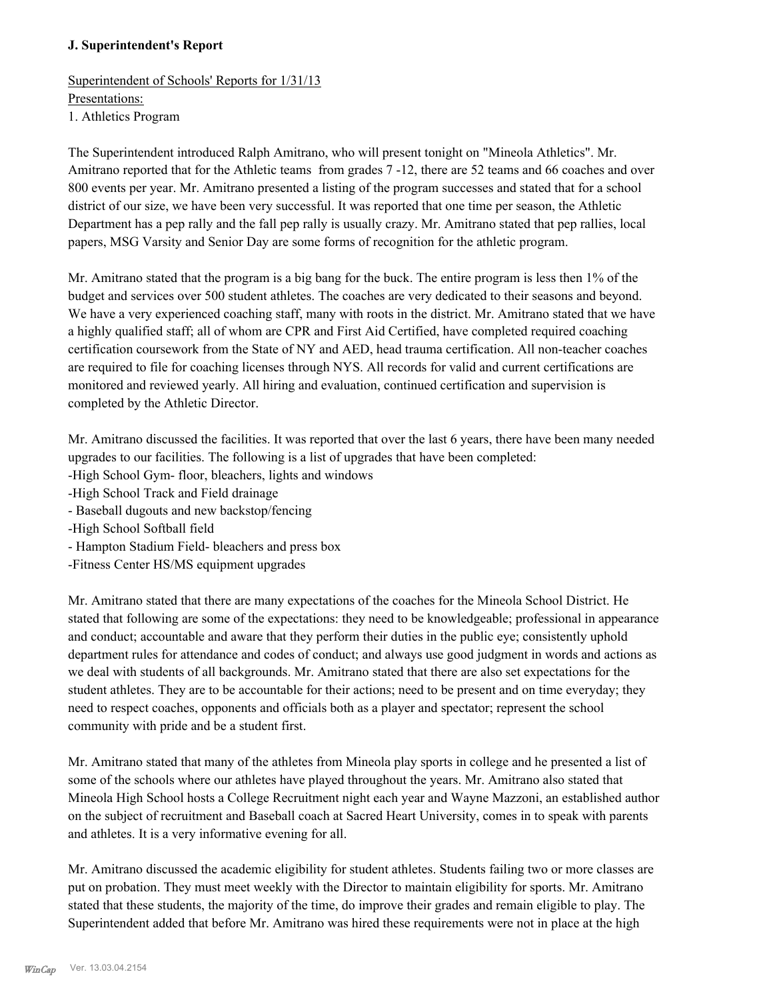# **J. Superintendent's Report**

Superintendent of Schools' Reports for 1/31/13 Presentations: 1. Athletics Program

The Superintendent introduced Ralph Amitrano, who will present tonight on "Mineola Athletics". Mr. Amitrano reported that for the Athletic teams from grades 7 -12, there are 52 teams and 66 coaches and over 800 events per year. Mr. Amitrano presented a listing of the program successes and stated that for a school district of our size, we have been very successful. It was reported that one time per season, the Athletic Department has a pep rally and the fall pep rally is usually crazy. Mr. Amitrano stated that pep rallies, local papers, MSG Varsity and Senior Day are some forms of recognition for the athletic program.

Mr. Amitrano stated that the program is a big bang for the buck. The entire program is less then 1% of the budget and services over 500 student athletes. The coaches are very dedicated to their seasons and beyond. We have a very experienced coaching staff, many with roots in the district. Mr. Amitrano stated that we have a highly qualified staff; all of whom are CPR and First Aid Certified, have completed required coaching certification coursework from the State of NY and AED, head trauma certification. All non-teacher coaches are required to file for coaching licenses through NYS. All records for valid and current certifications are monitored and reviewed yearly. All hiring and evaluation, continued certification and supervision is completed by the Athletic Director.

Mr. Amitrano discussed the facilities. It was reported that over the last 6 years, there have been many needed upgrades to our facilities. The following is a list of upgrades that have been completed:

- -High School Gym- floor, bleachers, lights and windows
- -High School Track and Field drainage
- Baseball dugouts and new backstop/fencing
- -High School Softball field
- Hampton Stadium Field- bleachers and press box
- -Fitness Center HS/MS equipment upgrades

Mr. Amitrano stated that there are many expectations of the coaches for the Mineola School District. He stated that following are some of the expectations: they need to be knowledgeable; professional in appearance and conduct; accountable and aware that they perform their duties in the public eye; consistently uphold department rules for attendance and codes of conduct; and always use good judgment in words and actions as we deal with students of all backgrounds. Mr. Amitrano stated that there are also set expectations for the student athletes. They are to be accountable for their actions; need to be present and on time everyday; they need to respect coaches, opponents and officials both as a player and spectator; represent the school community with pride and be a student first.

Mr. Amitrano stated that many of the athletes from Mineola play sports in college and he presented a list of some of the schools where our athletes have played throughout the years. Mr. Amitrano also stated that Mineola High School hosts a College Recruitment night each year and Wayne Mazzoni, an established author on the subject of recruitment and Baseball coach at Sacred Heart University, comes in to speak with parents and athletes. It is a very informative evening for all.

Mr. Amitrano discussed the academic eligibility for student athletes. Students failing two or more classes are put on probation. They must meet weekly with the Director to maintain eligibility for sports. Mr. Amitrano stated that these students, the majority of the time, do improve their grades and remain eligible to play. The Superintendent added that before Mr. Amitrano was hired these requirements were not in place at the high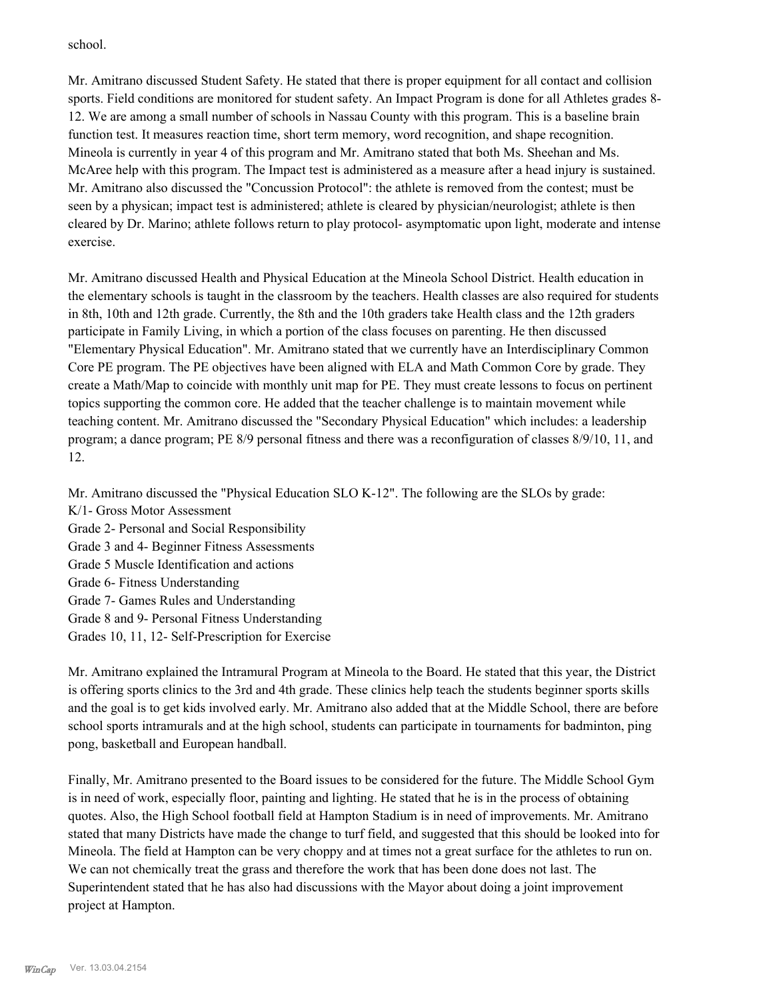school.

Mr. Amitrano discussed Student Safety. He stated that there is proper equipment for all contact and collision sports. Field conditions are monitored for student safety. An Impact Program is done for all Athletes grades 8-12. We are among a small number of schools in Nassau County with this program. This is a baseline brain function test. It measures reaction time, short term memory, word recognition, and shape recognition. Mineola is currently in year 4 of this program and Mr. Amitrano stated that both Ms. Sheehan and Ms. McAree help with this program. The Impact test is administered as a measure after a head injury is sustained. Mr. Amitrano also discussed the "Concussion Protocol": the athlete is removed from the contest; must be seen by a physican; impact test is administered; athlete is cleared by physician/neurologist; athlete is then cleared by Dr. Marino; athlete follows return to play protocol- asymptomatic upon light, moderate and intense exercise.

Mr. Amitrano discussed Health and Physical Education at the Mineola School District. Health education in the elementary schools is taught in the classroom by the teachers. Health classes are also required for students in 8th, 10th and 12th grade. Currently, the 8th and the 10th graders take Health class and the 12th graders participate in Family Living, in which a portion of the class focuses on parenting. He then discussed "Elementary Physical Education". Mr. Amitrano stated that we currently have an Interdisciplinary Common Core PE program. The PE objectives have been aligned with ELA and Math Common Core by grade. They create a Math/Map to coincide with monthly unit map for PE. They must create lessons to focus on pertinent topics supporting the common core. He added that the teacher challenge is to maintain movement while teaching content. Mr. Amitrano discussed the "Secondary Physical Education" which includes: a leadership program; a dance program; PE 8/9 personal fitness and there was a reconfiguration of classes 8/9/10, 11, and 12.

Mr. Amitrano discussed the "Physical Education SLO K-12". The following are the SLOs by grade: K/1- Gross Motor Assessment Grade 2- Personal and Social Responsibility Grade 3 and 4- Beginner Fitness Assessments Grade 5 Muscle Identification and actions Grade 6- Fitness Understanding Grade 7- Games Rules and Understanding Grade 8 and 9- Personal Fitness Understanding Grades 10, 11, 12- Self-Prescription for Exercise

Mr. Amitrano explained the Intramural Program at Mineola to the Board. He stated that this year, the District is offering sports clinics to the 3rd and 4th grade. These clinics help teach the students beginner sports skills and the goal is to get kids involved early. Mr. Amitrano also added that at the Middle School, there are before school sports intramurals and at the high school, students can participate in tournaments for badminton, ping pong, basketball and European handball.

Finally, Mr. Amitrano presented to the Board issues to be considered for the future. The Middle School Gym is in need of work, especially floor, painting and lighting. He stated that he is in the process of obtaining quotes. Also, the High School football field at Hampton Stadium is in need of improvements. Mr. Amitrano stated that many Districts have made the change to turf field, and suggested that this should be looked into for Mineola. The field at Hampton can be very choppy and at times not a great surface for the athletes to run on. We can not chemically treat the grass and therefore the work that has been done does not last. The Superintendent stated that he has also had discussions with the Mayor about doing a joint improvement project at Hampton.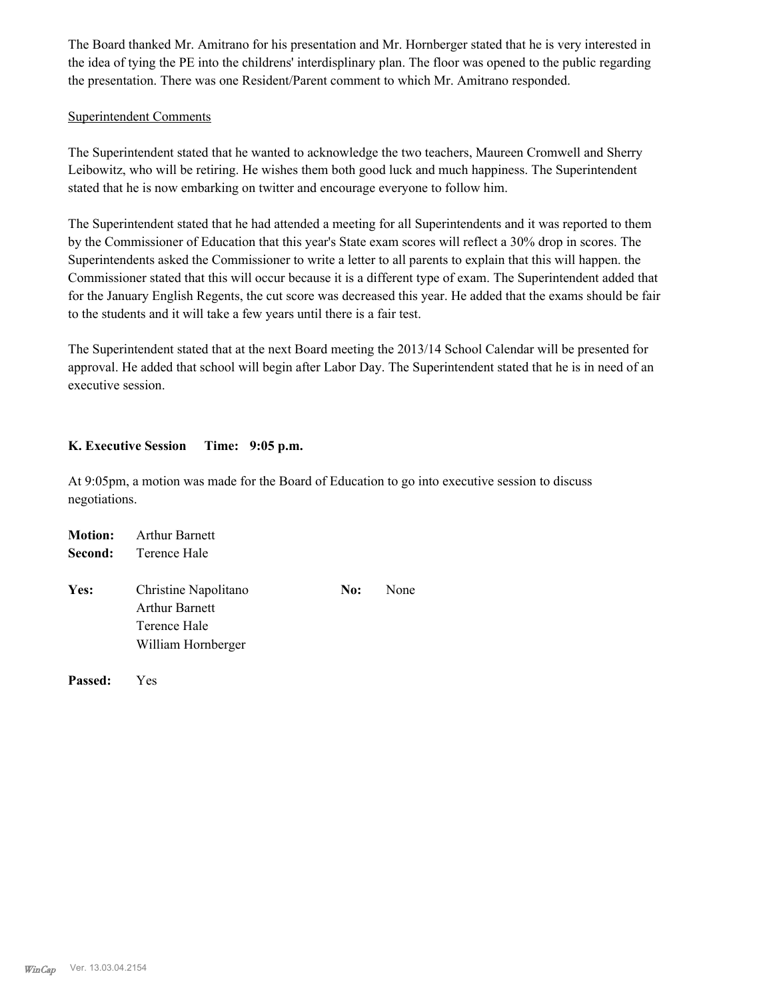The Board thanked Mr. Amitrano for his presentation and Mr. Hornberger stated that he is very interested in the idea of tying the PE into the childrens' interdisplinary plan. The floor was opened to the public regarding the presentation. There was one Resident/Parent comment to which Mr. Amitrano responded.

## Superintendent Comments

The Superintendent stated that he wanted to acknowledge the two teachers, Maureen Cromwell and Sherry Leibowitz, who will be retiring. He wishes them both good luck and much happiness. The Superintendent stated that he is now embarking on twitter and encourage everyone to follow him.

The Superintendent stated that he had attended a meeting for all Superintendents and it was reported to them by the Commissioner of Education that this year's State exam scores will reflect a 30% drop in scores. The Superintendents asked the Commissioner to write a letter to all parents to explain that this will happen. the Commissioner stated that this will occur because it is a different type of exam. The Superintendent added that for the January English Regents, the cut score was decreased this year. He added that the exams should be fair to the students and it will take a few years until there is a fair test.

The Superintendent stated that at the next Board meeting the 2013/14 School Calendar will be presented for approval. He added that school will begin after Labor Day. The Superintendent stated that he is in need of an executive session.

# **K. Executive Session Time: 9:05 p.m.**

At 9:05pm, a motion was made for the Board of Education to go into executive session to discuss negotiations.

| <b>Motion:</b> | <b>Arthur Barnett</b>                                                               |     |      |
|----------------|-------------------------------------------------------------------------------------|-----|------|
| Second:        | Terence Hale                                                                        |     |      |
| Yes:           | Christine Napolitano<br><b>Arthur Barnett</b><br>Terence Hale<br>William Hornberger | No: | None |
| Passed:        | Yes                                                                                 |     |      |